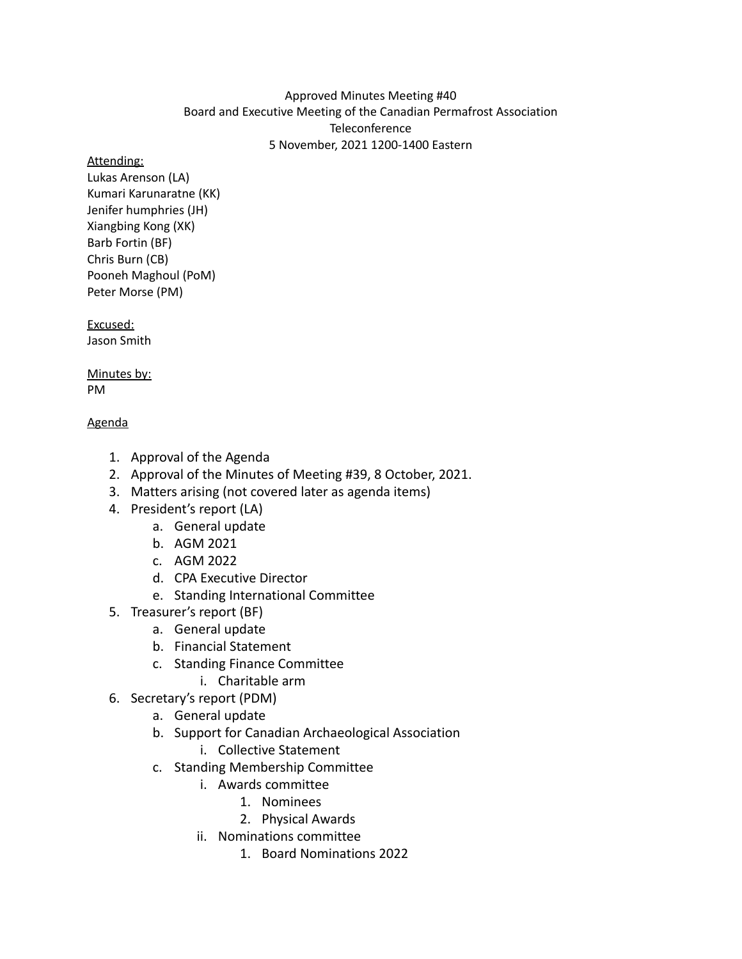### Approved Minutes Meeting #40 Board and Executive Meeting of the Canadian Permafrost Association **Teleconference** 5 November, 2021 1200-1400 Eastern

#### Attending:

Lukas Arenson (LA) Kumari Karunaratne (KK) Jenifer humphries (JH) Xiangbing Kong (XK) Barb Fortin (BF) Chris Burn (CB) Pooneh Maghoul (PoM) Peter Morse (PM)

Excused: Jason Smith

Minutes by: PM

# Agenda

- 1. Approval of the Agenda
- 2. Approval of the Minutes of Meeting #39, 8 October, 2021.
- 3. Matters arising (not covered later as agenda items)
- 4. President's report (LA)
	- a. General update
	- b. AGM 2021
	- c. AGM 2022
	- d. CPA Executive Director
	- e. Standing International Committee
- 5. Treasurer's report (BF)
	- a. General update
	- b. Financial Statement
	- c. Standing Finance Committee
		- i. Charitable arm
- 6. Secretary's report (PDM)
	- a. General update
	- b. Support for Canadian Archaeological Association
		- i. Collective Statement
	- c. Standing Membership Committee
		- i. Awards committee
			- 1. Nominees
			- 2. Physical Awards
		- ii. Nominations committee
			- 1. Board Nominations 2022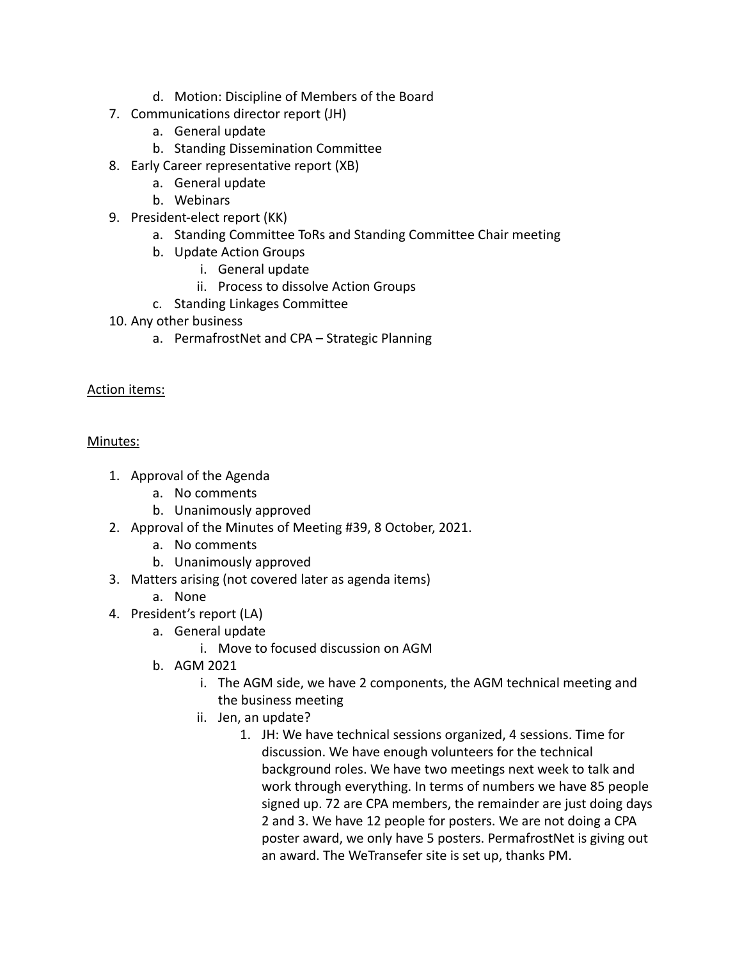- d. Motion: Discipline of Members of the Board
- 7. Communications director report (JH)
	- a. General update
	- b. Standing Dissemination Committee
- 8. Early Career representative report (XB)
	- a. General update
	- b. Webinars
- 9. President-elect report (KK)
	- a. Standing Committee ToRs and Standing Committee Chair meeting
	- b. Update Action Groups
		- i. General update
		- ii. Process to dissolve Action Groups
	- c. Standing Linkages Committee
- 10. Any other business
	- a. PermafrostNet and CPA Strategic Planning

### Action items:

### Minutes:

- 1. Approval of the Agenda
	- a. No comments
	- b. Unanimously approved
- 2. Approval of the Minutes of Meeting #39, 8 October, 2021.
	- a. No comments
	- b. Unanimously approved
- 3. Matters arising (not covered later as agenda items)
	- a. None
- 4. President's report (LA)
	- a. General update
		- i. Move to focused discussion on AGM
	- b. AGM 2021
		- i. The AGM side, we have 2 components, the AGM technical meeting and the business meeting
		- ii. Jen, an update?
			- 1. JH: We have technical sessions organized, 4 sessions. Time for discussion. We have enough volunteers for the technical background roles. We have two meetings next week to talk and work through everything. In terms of numbers we have 85 people signed up. 72 are CPA members, the remainder are just doing days 2 and 3. We have 12 people for posters. We are not doing a CPA poster award, we only have 5 posters. PermafrostNet is giving out an award. The WeTransefer site is set up, thanks PM.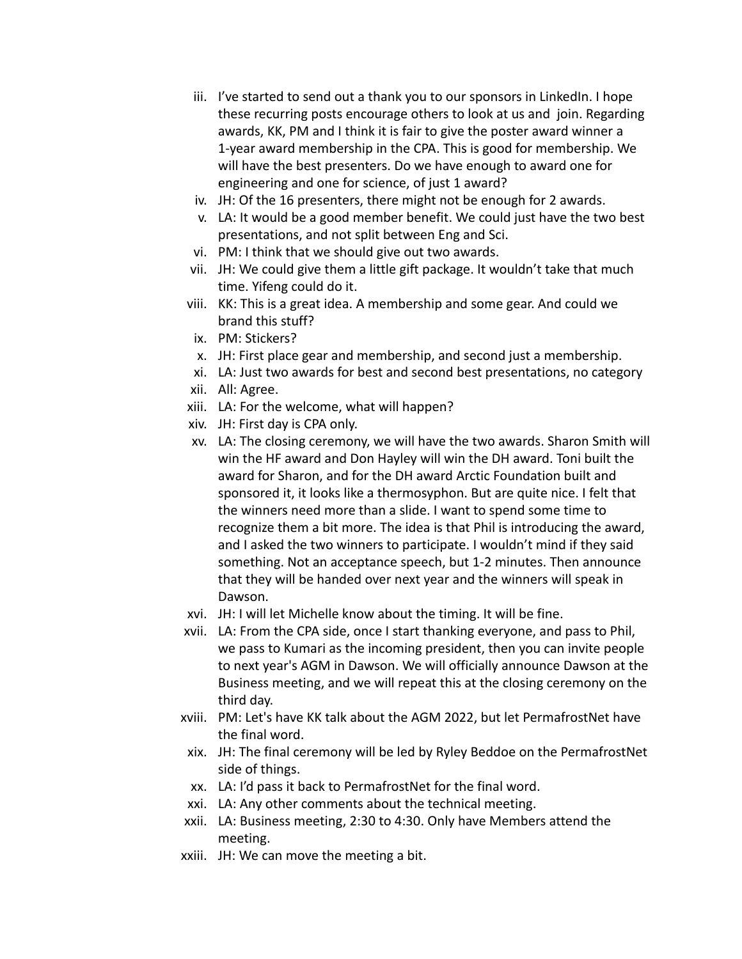- iii. I've started to send out a thank you to our sponsors in LinkedIn. I hope these recurring posts encourage others to look at us and join. Regarding awards, KK, PM and I think it is fair to give the poster award winner a 1-year award membership in the CPA. This is good for membership. We will have the best presenters. Do we have enough to award one for engineering and one for science, of just 1 award?
- iv. JH: Of the 16 presenters, there might not be enough for 2 awards.
- v. LA: It would be a good member benefit. We could just have the two best presentations, and not split between Eng and Sci.
- vi. PM: I think that we should give out two awards.
- vii. JH: We could give them a little gift package. It wouldn't take that much time. Yifeng could do it.
- viii. KK: This is a great idea. A membership and some gear. And could we brand this stuff?
- ix. PM: Stickers?
- x. JH: First place gear and membership, and second just a membership.
- xi. LA: Just two awards for best and second best presentations, no category
- xii. All: Agree.
- xiii. LA: For the welcome, what will happen?
- xiv. JH: First day is CPA only.
- xv. LA: The closing ceremony, we will have the two awards. Sharon Smith will win the HF award and Don Hayley will win the DH award. Toni built the award for Sharon, and for the DH award Arctic Foundation built and sponsored it, it looks like a thermosyphon. But are quite nice. I felt that the winners need more than a slide. I want to spend some time to recognize them a bit more. The idea is that Phil is introducing the award, and I asked the two winners to participate. I wouldn't mind if they said something. Not an acceptance speech, but 1-2 minutes. Then announce that they will be handed over next year and the winners will speak in Dawson.
- xvi. JH: I will let Michelle know about the timing. It will be fine.
- xvii. LA: From the CPA side, once I start thanking everyone, and pass to Phil, we pass to Kumari as the incoming president, then you can invite people to next year's AGM in Dawson. We will officially announce Dawson at the Business meeting, and we will repeat this at the closing ceremony on the third day.
- xviii. PM: Let's have KK talk about the AGM 2022, but let PermafrostNet have the final word.
- xix. JH: The final ceremony will be led by Ryley Beddoe on the PermafrostNet side of things.
- xx. LA: I'd pass it back to PermafrostNet for the final word.
- xxi. LA: Any other comments about the technical meeting.
- xxii. LA: Business meeting, 2:30 to 4:30. Only have Members attend the meeting.
- xxiii. JH: We can move the meeting a bit.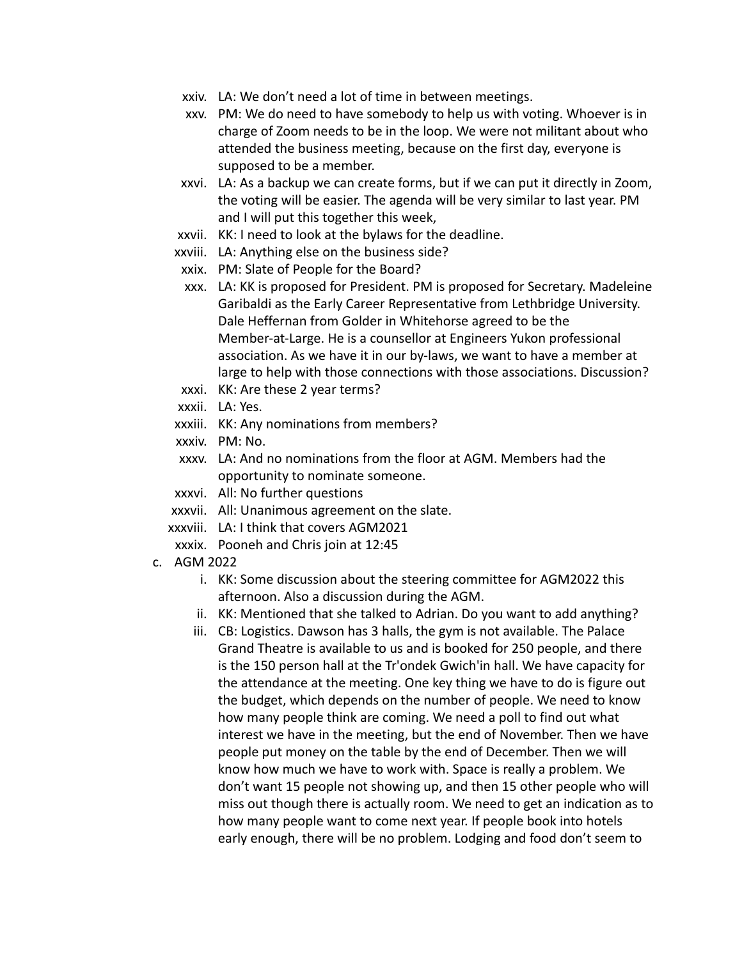- xxiv. LA: We don't need a lot of time in between meetings.
- xxv. PM: We do need to have somebody to help us with voting. Whoever is in charge of Zoom needs to be in the loop. We were not militant about who attended the business meeting, because on the first day, everyone is supposed to be a member.
- xxvi. LA: As a backup we can create forms, but if we can put it directly in Zoom, the voting will be easier. The agenda will be very similar to last year. PM and I will put this together this week,
- xxvii. KK: I need to look at the bylaws for the deadline.
- xxviii. LA: Anything else on the business side?
- xxix. PM: Slate of People for the Board?
- xxx. LA: KK is proposed for President. PM is proposed for Secretary. Madeleine Garibaldi as the Early Career Representative from Lethbridge University. Dale Heffernan from Golder in Whitehorse agreed to be the Member-at-Large. He is a counsellor at Engineers Yukon professional association. As we have it in our by-laws, we want to have a member at large to help with those connections with those associations. Discussion?
- xxxi. KK: Are these 2 year terms?
- xxxii. LA: Yes.
- xxxiii. KK: Any nominations from members?
- xxxiv. PM: No.
- xxxv. LA: And no nominations from the floor at AGM. Members had the opportunity to nominate someone.
- xxxvi. All: No further questions
- xxxvii. All: Unanimous agreement on the slate.
- xxxviii. LA: I think that covers AGM2021
- xxxix. Pooneh and Chris join at 12:45
- c. AGM 2022
	- i. KK: Some discussion about the steering committee for AGM2022 this afternoon. Also a discussion during the AGM.
	- ii. KK: Mentioned that she talked to Adrian. Do you want to add anything?
	- iii. CB: Logistics. Dawson has 3 halls, the gym is not available. The Palace Grand Theatre is available to us and is booked for 250 people, and there is the 150 person hall at the Tr'ondek Gwich'in hall. We have capacity for the attendance at the meeting. One key thing we have to do is figure out the budget, which depends on the number of people. We need to know how many people think are coming. We need a poll to find out what interest we have in the meeting, but the end of November. Then we have people put money on the table by the end of December. Then we will know how much we have to work with. Space is really a problem. We don't want 15 people not showing up, and then 15 other people who will miss out though there is actually room. We need to get an indication as to how many people want to come next year. If people book into hotels early enough, there will be no problem. Lodging and food don't seem to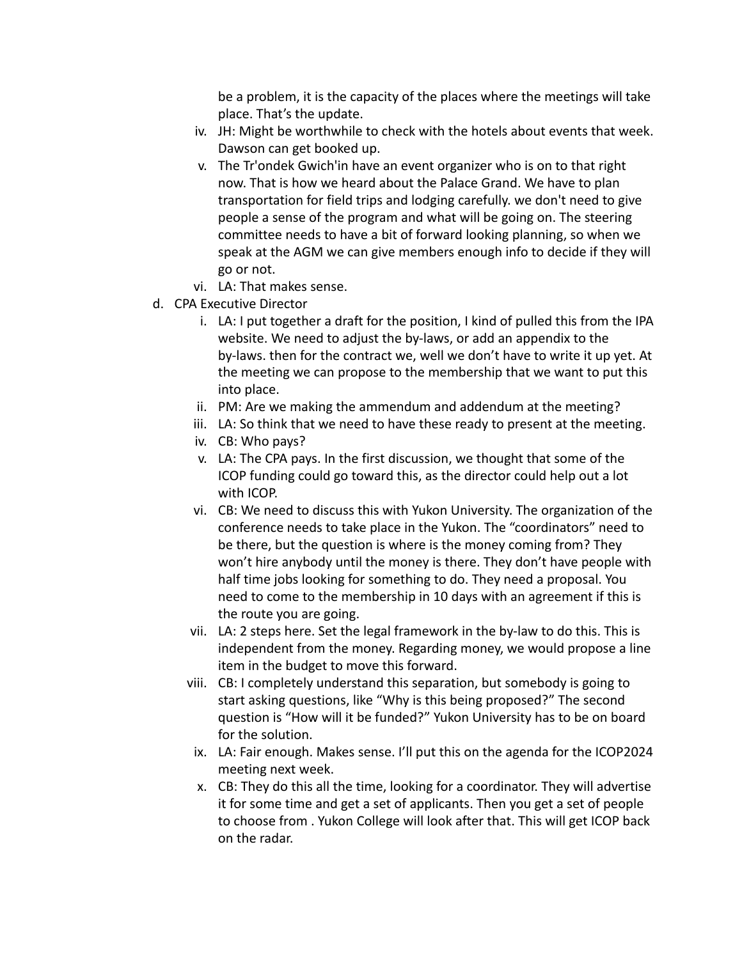be a problem, it is the capacity of the places where the meetings will take place. That's the update.

- iv. JH: Might be worthwhile to check with the hotels about events that week. Dawson can get booked up.
- v. The Tr'ondek Gwich'in have an event organizer who is on to that right now. That is how we heard about the Palace Grand. We have to plan transportation for field trips and lodging carefully. we don't need to give people a sense of the program and what will be going on. The steering committee needs to have a bit of forward looking planning, so when we speak at the AGM we can give members enough info to decide if they will go or not.
- vi. LA: That makes sense.
- d. CPA Executive Director
	- i. LA: I put together a draft for the position, I kind of pulled this from the IPA website. We need to adjust the by-laws, or add an appendix to the by-laws. then for the contract we, well we don't have to write it up yet. At the meeting we can propose to the membership that we want to put this into place.
	- ii. PM: Are we making the ammendum and addendum at the meeting?
	- iii. LA: So think that we need to have these ready to present at the meeting.
	- iv. CB: Who pays?
	- v. LA: The CPA pays. In the first discussion, we thought that some of the ICOP funding could go toward this, as the director could help out a lot with ICOP.
	- vi. CB: We need to discuss this with Yukon University. The organization of the conference needs to take place in the Yukon. The "coordinators" need to be there, but the question is where is the money coming from? They won't hire anybody until the money is there. They don't have people with half time jobs looking for something to do. They need a proposal. You need to come to the membership in 10 days with an agreement if this is the route you are going.
	- vii. LA: 2 steps here. Set the legal framework in the by-law to do this. This is independent from the money. Regarding money, we would propose a line item in the budget to move this forward.
	- viii. CB: I completely understand this separation, but somebody is going to start asking questions, like "Why is this being proposed?" The second question is "How will it be funded?" Yukon University has to be on board for the solution.
	- ix. LA: Fair enough. Makes sense. I'll put this on the agenda for the ICOP2024 meeting next week.
	- x. CB: They do this all the time, looking for a coordinator. They will advertise it for some time and get a set of applicants. Then you get a set of people to choose from . Yukon College will look after that. This will get ICOP back on the radar.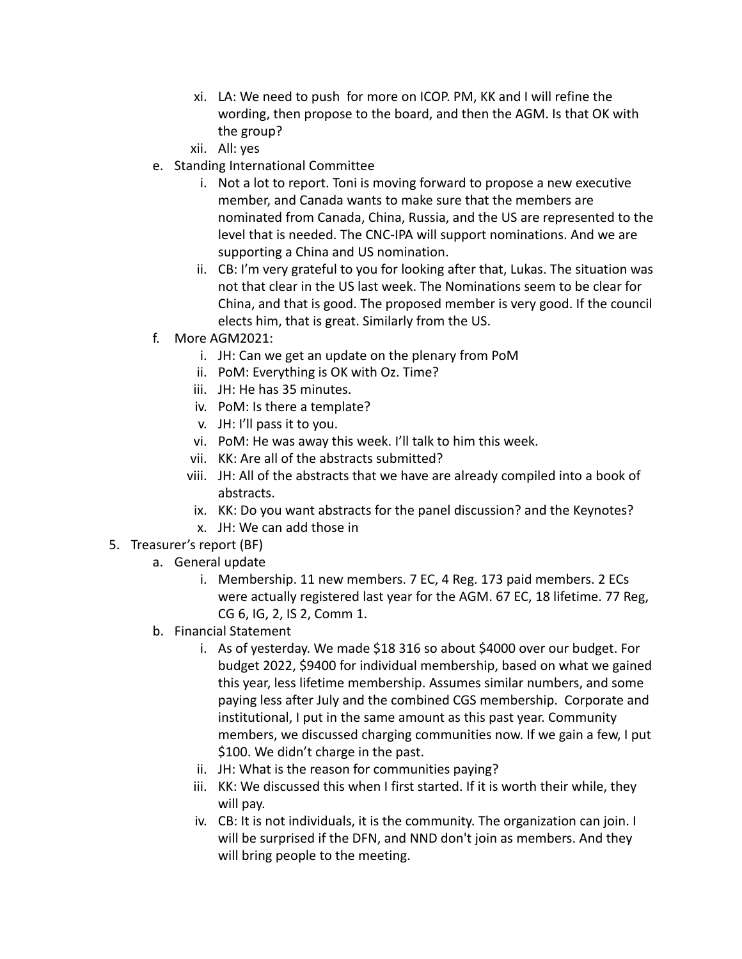- xi. LA: We need to push for more on ICOP. PM, KK and I will refine the wording, then propose to the board, and then the AGM. Is that OK with the group?
- xii. All: yes
- e. Standing International Committee
	- i. Not a lot to report. Toni is moving forward to propose a new executive member, and Canada wants to make sure that the members are nominated from Canada, China, Russia, and the US are represented to the level that is needed. The CNC-IPA will support nominations. And we are supporting a China and US nomination.
	- ii. CB: I'm very grateful to you for looking after that, Lukas. The situation was not that clear in the US last week. The Nominations seem to be clear for China, and that is good. The proposed member is very good. If the council elects him, that is great. Similarly from the US.
- f. More AGM2021:
	- i. JH: Can we get an update on the plenary from PoM
	- ii. PoM: Everything is OK with Oz. Time?
	- iii. JH: He has 35 minutes.
	- iv. PoM: Is there a template?
	- v. JH: I'll pass it to you.
	- vi. PoM: He was away this week. I'll talk to him this week.
	- vii. KK: Are all of the abstracts submitted?
	- viii. JH: All of the abstracts that we have are already compiled into a book of abstracts.
	- ix. KK: Do you want abstracts for the panel discussion? and the Keynotes?
	- x. JH: We can add those in
- 5. Treasurer's report (BF)
	- a. General update
		- i. Membership. 11 new members. 7 EC, 4 Reg. 173 paid members. 2 ECs were actually registered last year for the AGM. 67 EC, 18 lifetime. 77 Reg, CG 6, IG, 2, IS 2, Comm 1.
	- b. Financial Statement
		- i. As of yesterday. We made \$18 316 so about \$4000 over our budget. For budget 2022, \$9400 for individual membership, based on what we gained this year, less lifetime membership. Assumes similar numbers, and some paying less after July and the combined CGS membership. Corporate and institutional, I put in the same amount as this past year. Community members, we discussed charging communities now. If we gain a few, I put \$100. We didn't charge in the past.
		- ii. JH: What is the reason for communities paying?
		- iii. KK: We discussed this when I first started. If it is worth their while, they will pay.
		- iv. CB: It is not individuals, it is the community. The organization can join. I will be surprised if the DFN, and NND don't join as members. And they will bring people to the meeting.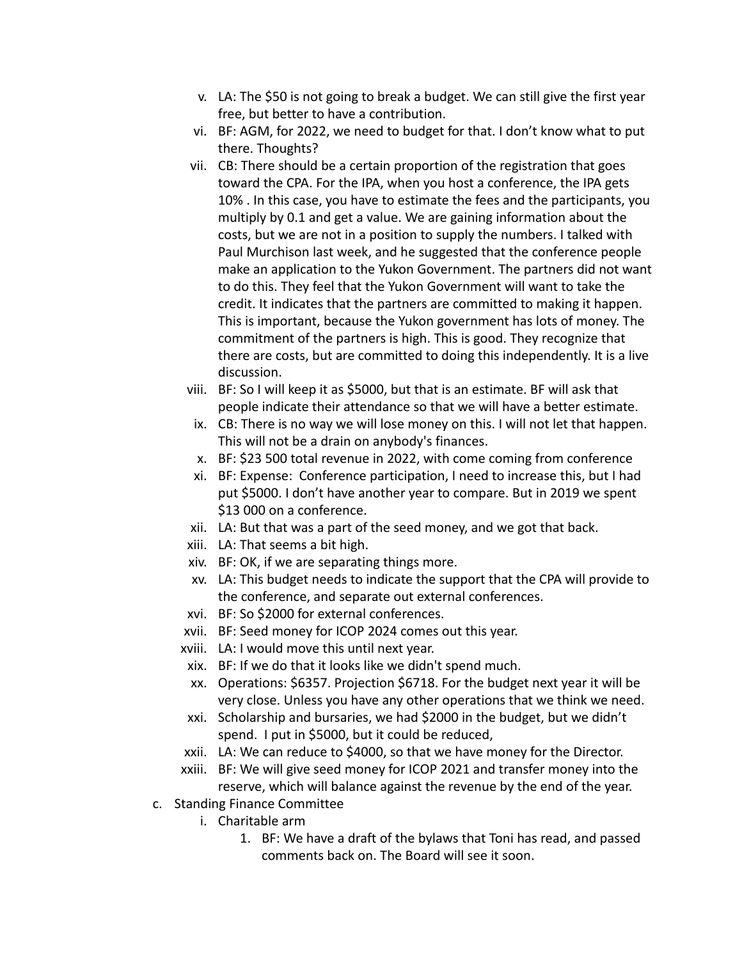- v. LA: The \$50 is not going to break a budget. We can still give the first year free, but better to have a contribution.
- vi. BF: AGM, for 2022, we need to budget for that. I don't know what to put there. Thoughts?
- vii. CB: There should be a certain proportion of the registration that goes toward the CPA. For the IPA, when you host a conference, the IPA gets 10% . In this case, you have to estimate the fees and the participants, you multiply by 0.1 and get a value. We are gaining information about the costs, but we are not in a position to supply the numbers. I talked with Paul Murchison last week, and he suggested that the conference people make an application to the Yukon Government. The partners did not want to do this. They feel that the Yukon Government will want to take the credit. It indicates that the partners are committed to making it happen. This is important, because the Yukon government has lots of money. The commitment of the partners is high. This is good. They recognize that there are costs, but are committed to doing this independently. It is a live discussion.
- viii. BF: So I will keep it as \$5000, but that is an estimate. BF will ask that people indicate their attendance so that we will have a better estimate.
- ix. CB: There is no way we will lose money on this. I will not let that happen. This will not be a drain on anybody's finances.
- x. BF: \$23 500 total revenue in 2022, with come coming from conference
- xi. BF: Expense: Conference participation, I need to increase this, but I had put \$5000. I don't have another year to compare. But in 2019 we spent \$13 000 on a conference.
- xii. LA: But that was a part of the seed money, and we got that back.
- xiii. LA: That seems a bit high.
- xiv. BF: OK, if we are separating things more.
- xv. LA: This budget needs to indicate the support that the CPA will provide to the conference, and separate out external conferences.
- xvi. BF: So \$2000 for external conferences.
- xvii. BF: Seed money for ICOP 2024 comes out this year.
- xviii. LA: I would move this until next year.
- xix. BF: If we do that it looks like we didn't spend much.
- xx. Operations: \$6357. Projection \$6718. For the budget next year it will be very close. Unless you have any other operations that we think we need.
- xxi. Scholarship and bursaries, we had \$2000 in the budget, but we didn't spend. I put in \$5000, but it could be reduced,
- xxii. LA: We can reduce to \$4000, so that we have money for the Director.
- xxiii. BF: We will give seed money for ICOP 2021 and transfer money into the reserve, which will balance against the revenue by the end of the year.
- c. Standing Finance Committee
	- i. Charitable arm
		- 1. BF: We have a draft of the bylaws that Toni has read, and passed comments back on. The Board will see it soon.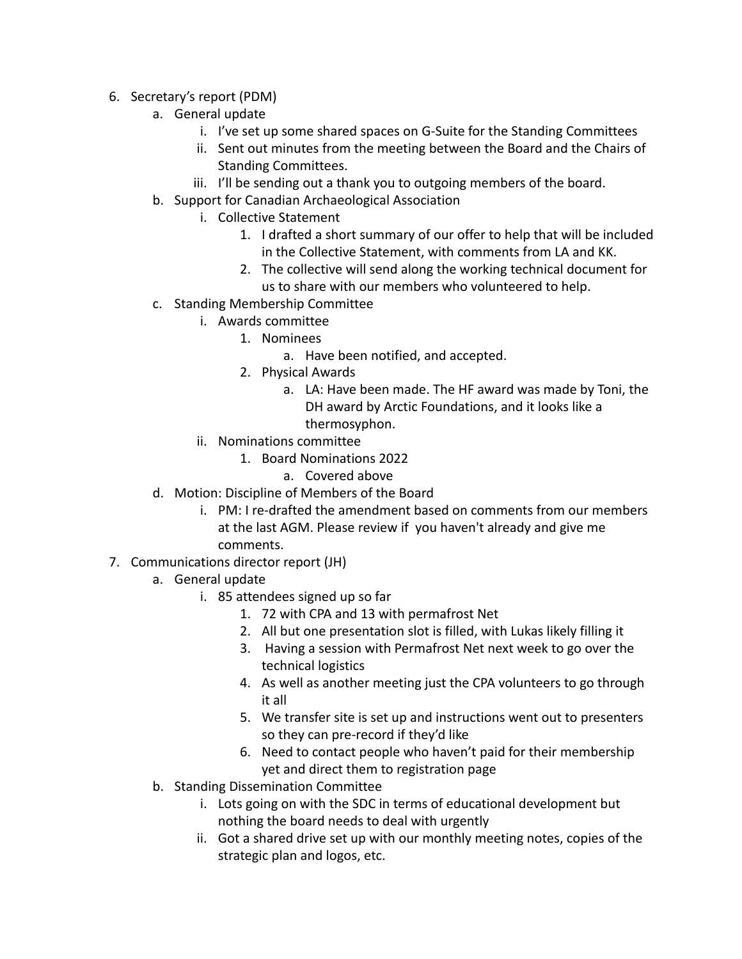- 6. Secretary's report (PDM)
	- a. General update
		- i. I've set up some shared spaces on G-Suite for the Standing Committees
		- ii. Sent out minutes from the meeting between the Board and the Chairs of Standing Committees.
		- iii. I'll be sending out a thank you to outgoing members of the board.
	- b. Support for Canadian Archaeological Association
		- i. Collective Statement
			- 1. I drafted a short summary of our offer to help that will be included in the Collective Statement, with comments from LA and KK.
			- 2. The collective will send along the working technical document for us to share with our members who volunteered to help.
	- c. Standing Membership Committee
		- i. Awards committee
			- 1. Nominees
				- a. Have been notified, and accepted.
			- 2. Physical Awards
				- a. LA: Have been made. The HF award was made by Toni, the DH award by Arctic Foundations, and it looks like a thermosyphon.
		- ii. Nominations committee
			- 1. Board Nominations 2022
				- a. Covered above
	- d. Motion: Discipline of Members of the Board
		- i. PM: I re-drafted the amendment based on comments from our members at the last AGM. Please review if you haven't already and give me comments.
- 7. Communications director report (JH)
	- a. General update
		- i. 85 attendees signed up so far
			- 1. 72 with CPA and 13 with permafrost Net
			- 2. All but one presentation slot is filled, with Lukas likely filling it
			- 3. Having a session with Permafrost Net next week to go over the technical logistics
			- 4. As well as another meeting just the CPA volunteers to go through it all
			- 5. We transfer site is set up and instructions went out to presenters so they can pre-record if they'd like
			- 6. Need to contact people who haven't paid for their membership yet and direct them to registration page
	- b. Standing Dissemination Committee
		- i. Lots going on with the SDC in terms of educational development but nothing the board needs to deal with urgently
		- ii. Got a shared drive set up with our monthly meeting notes, copies of the strategic plan and logos, etc.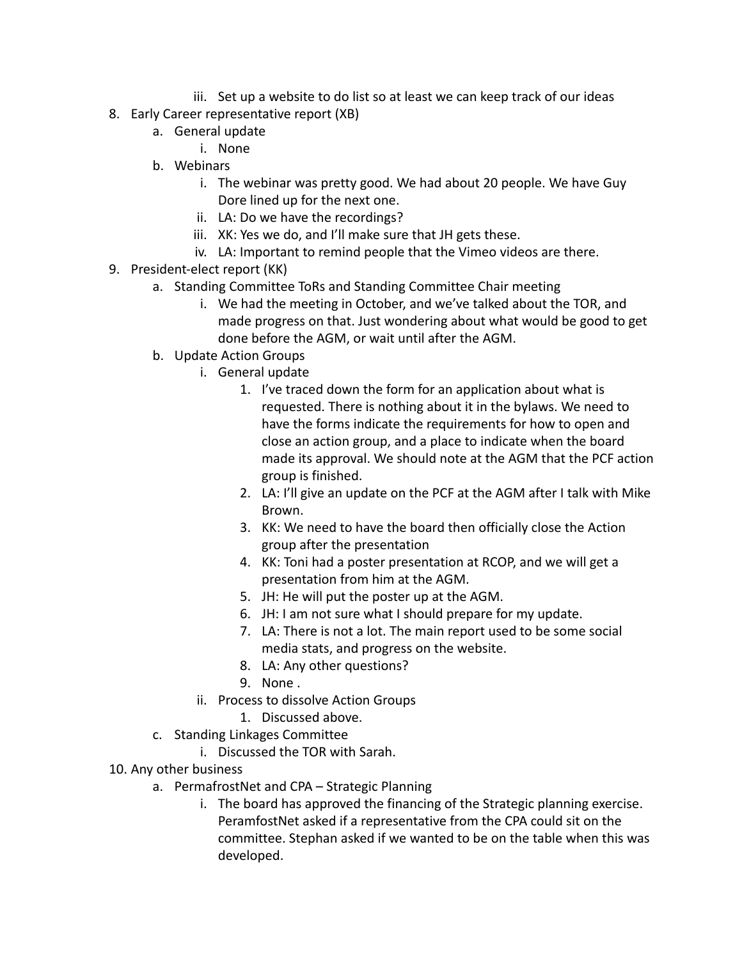- iii. Set up a website to do list so at least we can keep track of our ideas
- 8. Early Career representative report (XB)
	- a. General update
		- i. None
	- b. Webinars
		- i. The webinar was pretty good. We had about 20 people. We have Guy Dore lined up for the next one.
		- ii. LA: Do we have the recordings?
		- iii. XK: Yes we do, and I'll make sure that JH gets these.
		- iv. LA: Important to remind people that the Vimeo videos are there.
- 9. President-elect report (KK)
	- a. Standing Committee ToRs and Standing Committee Chair meeting
		- i. We had the meeting in October, and we've talked about the TOR, and made progress on that. Just wondering about what would be good to get done before the AGM, or wait until after the AGM.
	- b. Update Action Groups
		- i. General update
			- 1. I've traced down the form for an application about what is requested. There is nothing about it in the bylaws. We need to have the forms indicate the requirements for how to open and close an action group, and a place to indicate when the board made its approval. We should note at the AGM that the PCF action group is finished.
			- 2. LA: I'll give an update on the PCF at the AGM after I talk with Mike Brown.
			- 3. KK: We need to have the board then officially close the Action group after the presentation
			- 4. KK: Toni had a poster presentation at RCOP, and we will get a presentation from him at the AGM.
			- 5. JH: He will put the poster up at the AGM.
			- 6. JH: I am not sure what I should prepare for my update.
			- 7. LA: There is not a lot. The main report used to be some social media stats, and progress on the website.
			- 8. LA: Any other questions?
			- 9. None .
		- ii. Process to dissolve Action Groups
			- 1. Discussed above.
	- c. Standing Linkages Committee
		- i. Discussed the TOR with Sarah.
- 10. Any other business
	- a. PermafrostNet and CPA Strategic Planning
		- i. The board has approved the financing of the Strategic planning exercise. PeramfostNet asked if a representative from the CPA could sit on the committee. Stephan asked if we wanted to be on the table when this was developed.